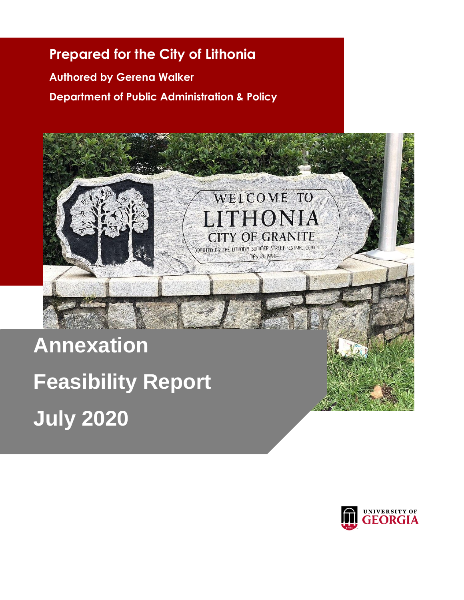# **Prepared for the City of Lithonia**

**Authored by Gerena Walker Department of Public Administration & Policy**



**July 2020**

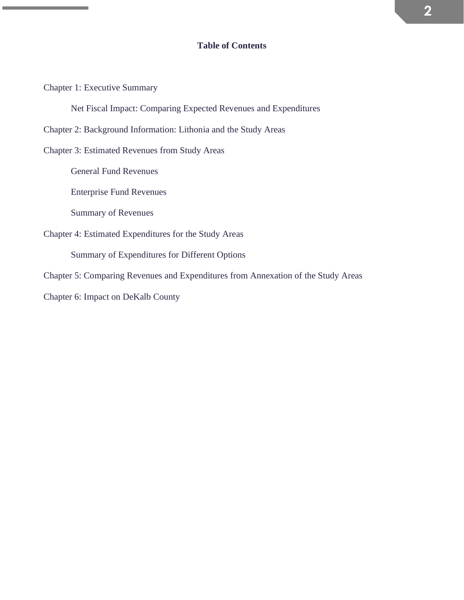# **Table of Contents**

Chapter 1: Executive Summary

Net Fiscal Impact: Comparing Expected Revenues and Expenditures

Chapter 2: Background Information: Lithonia and the Study Areas

Chapter 3: Estimated Revenues from Study Areas

General Fund Revenues

Enterprise Fund Revenues

Summary of Revenues

Chapter 4: Estimated Expenditures for the Study Areas

Summary of Expenditures for Different Options

Chapter 5: Comparing Revenues and Expenditures from Annexation of the Study Areas

Chapter 6: Impact on DeKalb County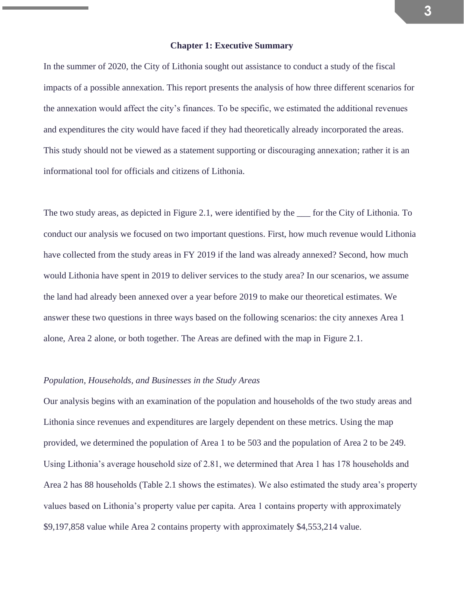### **Chapter 1: Executive Summary**

In the summer of 2020, the City of Lithonia sought out assistance to conduct a study of the fiscal impacts of a possible annexation. This report presents the analysis of how three different scenarios for the annexation would affect the city's finances. To be specific, we estimated the additional revenues and expenditures the city would have faced if they had theoretically already incorporated the areas. This study should not be viewed as a statement supporting or discouraging annexation; rather it is an informational tool for officials and citizens of Lithonia.

The two study areas, as depicted in Figure 2.1, were identified by the \_\_\_ for the City of Lithonia. To conduct our analysis we focused on two important questions. First, how much revenue would Lithonia have collected from the study areas in FY 2019 if the land was already annexed? Second, how much would Lithonia have spent in 2019 to deliver services to the study area? In our scenarios, we assume the land had already been annexed over a year before 2019 to make our theoretical estimates. We answer these two questions in three ways based on the following scenarios: the city annexes Area 1 alone, Area 2 alone, or both together. The Areas are defined with the map in Figure 2.1.

### *Population, Households, and Businesses in the Study Areas*

Our analysis begins with an examination of the population and households of the two study areas and Lithonia since revenues and expenditures are largely dependent on these metrics. Using the map provided, we determined the population of Area 1 to be 503 and the population of Area 2 to be 249. Using Lithonia's average household size of 2.81, we determined that Area 1 has 178 households and Area 2 has 88 households (Table 2.1 shows the estimates). We also estimated the study area's property values based on Lithonia's property value per capita. Area 1 contains property with approximately \$9,197,858 value while Area 2 contains property with approximately \$4,553,214 value.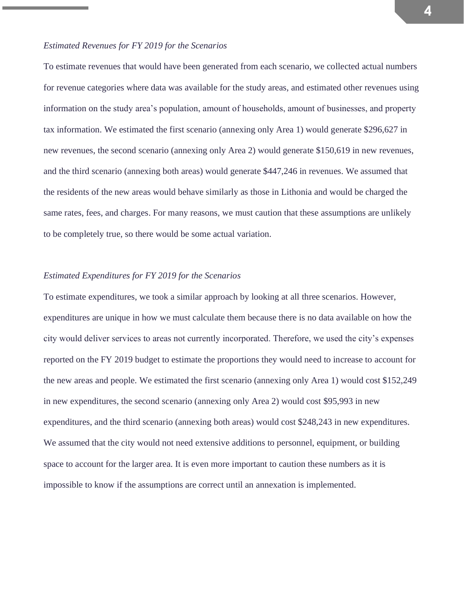# *Estimated Revenues for FY 2019 for the Scenarios*

To estimate revenues that would have been generated from each scenario, we collected actual numbers for revenue categories where data was available for the study areas, and estimated other revenues using information on the study area's population, amount of households, amount of businesses, and property tax information. We estimated the first scenario (annexing only Area 1) would generate \$296,627 in new revenues, the second scenario (annexing only Area 2) would generate \$150,619 in new revenues, and the third scenario (annexing both areas) would generate \$447,246 in revenues. We assumed that the residents of the new areas would behave similarly as those in Lithonia and would be charged the same rates, fees, and charges. For many reasons, we must caution that these assumptions are unlikely to be completely true, so there would be some actual variation.

# *Estimated Expenditures for FY 2019 for the Scenarios*

To estimate expenditures, we took a similar approach by looking at all three scenarios. However, expenditures are unique in how we must calculate them because there is no data available on how the city would deliver services to areas not currently incorporated. Therefore, we used the city's expenses reported on the FY 2019 budget to estimate the proportions they would need to increase to account for the new areas and people. We estimated the first scenario (annexing only Area 1) would cost \$152,249 in new expenditures, the second scenario (annexing only Area 2) would cost \$95,993 in new expenditures, and the third scenario (annexing both areas) would cost \$248,243 in new expenditures. We assumed that the city would not need extensive additions to personnel, equipment, or building space to account for the larger area. It is even more important to caution these numbers as it is impossible to know if the assumptions are correct until an annexation is implemented.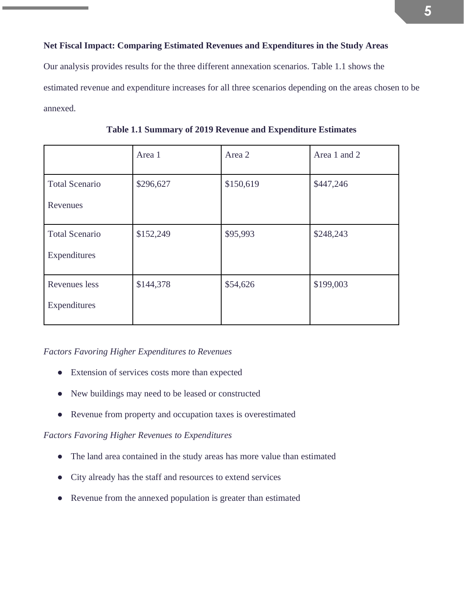# **Net Fiscal Impact: Comparing Estimated Revenues and Expenditures in the Study Areas**

Our analysis provides results for the three different annexation scenarios. Table 1.1 shows the estimated revenue and expenditure increases for all three scenarios depending on the areas chosen to be annexed.

|                       | Area 1    | Area 2    | Area 1 and 2 |
|-----------------------|-----------|-----------|--------------|
| <b>Total Scenario</b> | \$296,627 | \$150,619 | \$447,246    |
| Revenues              |           |           |              |
| <b>Total Scenario</b> | \$152,249 | \$95,993  | \$248,243    |
| Expenditures          |           |           |              |
| Revenues less         | \$144,378 | \$54,626  | \$199,003    |
| Expenditures          |           |           |              |

**Table 1.1 Summary of 2019 Revenue and Expenditure Estimates**

# *Factors Favoring Higher Expenditures to Revenues*

- Extension of services costs more than expected
- New buildings may need to be leased or constructed
- Revenue from property and occupation taxes is overestimated

# *Factors Favoring Higher Revenues to Expenditures*

- The land area contained in the study areas has more value than estimated
- City already has the staff and resources to extend services
- Revenue from the annexed population is greater than estimated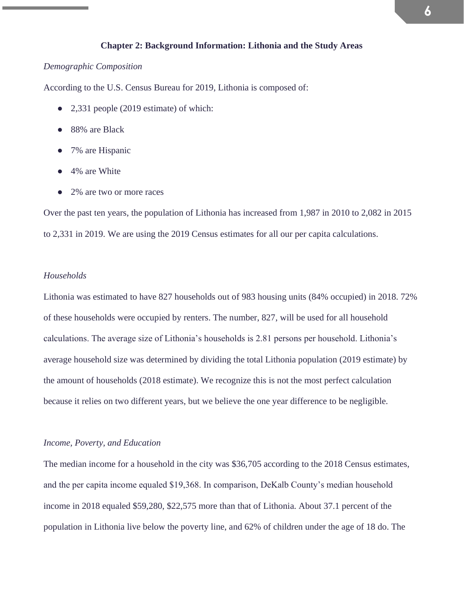# **Chapter 2: Background Information: Lithonia and the Study Areas**

### *Demographic Composition*

According to the U.S. Census Bureau for 2019, Lithonia is composed of:

- 2,331 people (2019 estimate) of which:
- 88% are Black
- 7% are Hispanic
- 4% are White
- 2% are two or more races

Over the past ten years, the population of Lithonia has increased from 1,987 in 2010 to 2,082 in 2015 to 2,331 in 2019. We are using the 2019 Census estimates for all our per capita calculations.

### *Households*

Lithonia was estimated to have 827 households out of 983 housing units (84% occupied) in 2018. 72% of these households were occupied by renters. The number, 827, will be used for all household calculations. The average size of Lithonia's households is 2.81 persons per household. Lithonia's average household size was determined by dividing the total Lithonia population (2019 estimate) by the amount of households (2018 estimate). We recognize this is not the most perfect calculation because it relies on two different years, but we believe the one year difference to be negligible.

# *Income, Poverty, and Education*

The median income for a household in the city was \$36,705 according to the 2018 Census estimates, and the per capita income equaled \$19,368. In comparison, DeKalb County's median household income in 2018 equaled \$59,280, \$22,575 more than that of Lithonia. About 37.1 percent of the population in Lithonia live below the poverty line, and 62% of children under the age of 18 do. The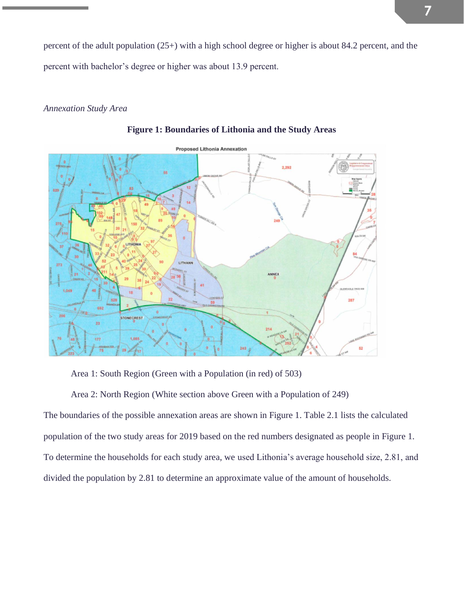percent of the adult population (25+) with a high school degree or higher is about 84.2 percent, and the percent with bachelor's degree or higher was about 13.9 percent.

# *Annexation Study Area*



**Figure 1: Boundaries of Lithonia and the Study Areas**

Area 1: South Region (Green with a Population (in red) of 503)

Area 2: North Region (White section above Green with a Population of 249)

The boundaries of the possible annexation areas are shown in Figure 1. Table 2.1 lists the calculated population of the two study areas for 2019 based on the red numbers designated as people in Figure 1. To determine the households for each study area, we used Lithonia's average household size, 2.81, and divided the population by 2.81 to determine an approximate value of the amount of households.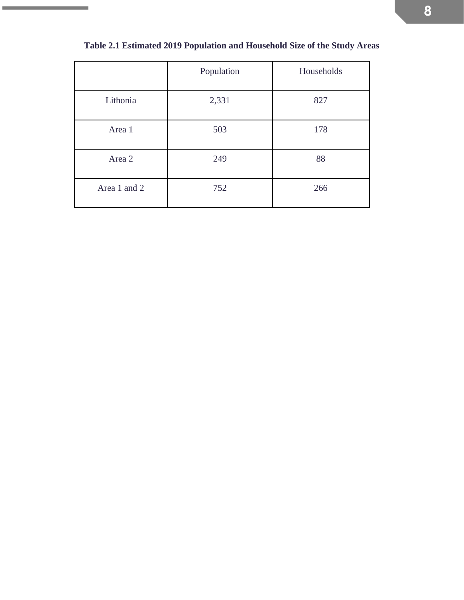|              | Population | Households |
|--------------|------------|------------|
| Lithonia     | 2,331      | 827        |
| Area 1       | 503        | 178        |
| Area 2       | 249        | 88         |
| Area 1 and 2 | 752        | 266        |

# **Table 2.1 Estimated 2019 Population and Household Size of the Study Areas**

 $\sim$ 

÷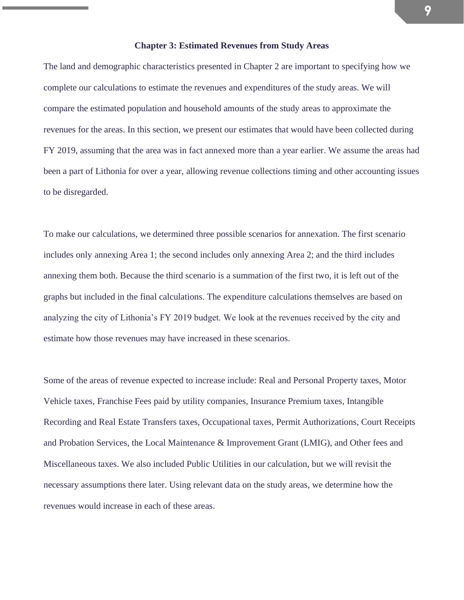#### **Chapter 3: Estimated Revenues from Study Areas**

The land and demographic characteristics presented in Chapter 2 are important to specifying how we complete our calculations to estimate the revenues and expenditures of the study areas. We will compare the estimated population and household amounts of the study areas to approximate the revenues for the areas. In this section, we present our estimates that would have been collected during FY 2019, assuming that the area was in fact annexed more than a year earlier. We assume the areas had been a part of Lithonia for over a year, allowing revenue collections timing and other accounting issues to be disregarded.

To make our calculations, we determined three possible scenarios for annexation. The first scenario includes only annexing Area 1; the second includes only annexing Area 2; and the third includes annexing them both. Because the third scenario is a summation of the first two, it is left out of the graphs but included in the final calculations. The expenditure calculations themselves are based on analyzing the city of Lithonia's FY 2019 budget. We look at the revenues received by the city and estimate how those revenues may have increased in these scenarios.

Some of the areas of revenue expected to increase include: Real and Personal Property taxes, Motor Vehicle taxes, Franchise Fees paid by utility companies, Insurance Premium taxes, Intangible Recording and Real Estate Transfers taxes, Occupational taxes, Permit Authorizations, Court Receipts and Probation Services, the Local Maintenance & Improvement Grant (LMIG), and Other fees and Miscellaneous taxes. We also included Public Utilities in our calculation, but we will revisit the necessary assumptions there later. Using relevant data on the study areas, we determine how the revenues would increase in each of these areas.

**9**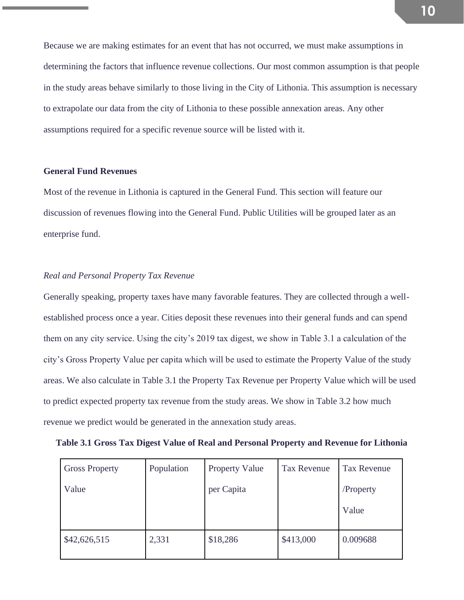Because we are making estimates for an event that has not occurred, we must make assumptions in determining the factors that influence revenue collections. Our most common assumption is that people in the study areas behave similarly to those living in the City of Lithonia. This assumption is necessary to extrapolate our data from the city of Lithonia to these possible annexation areas. Any other assumptions required for a specific revenue source will be listed with it.

# **General Fund Revenues**

Most of the revenue in Lithonia is captured in the General Fund. This section will feature our discussion of revenues flowing into the General Fund. Public Utilities will be grouped later as an enterprise fund.

# *Real and Personal Property Tax Revenue*

Generally speaking, property taxes have many favorable features. They are collected through a wellestablished process once a year. Cities deposit these revenues into their general funds and can spend them on any city service. Using the city's 2019 tax digest, we show in Table 3.1 a calculation of the city's Gross Property Value per capita which will be used to estimate the Property Value of the study areas. We also calculate in Table 3.1 the Property Tax Revenue per Property Value which will be used to predict expected property tax revenue from the study areas. We show in Table 3.2 how much revenue we predict would be generated in the annexation study areas.

| Table 3.1 Gross Tax Digest Value of Real and Personal Property and Revenue for Lithonia |  |
|-----------------------------------------------------------------------------------------|--|
|-----------------------------------------------------------------------------------------|--|

| <b>Gross Property</b> | Population | <b>Property Value</b> | <b>Tax Revenue</b> | <b>Tax Revenue</b> |
|-----------------------|------------|-----------------------|--------------------|--------------------|
| Value                 |            | per Capita            |                    | /Property          |
|                       |            |                       |                    | Value              |
| \$42,626,515          | 2,331      | \$18,286              | \$413,000          | 0.009688           |
|                       |            |                       |                    |                    |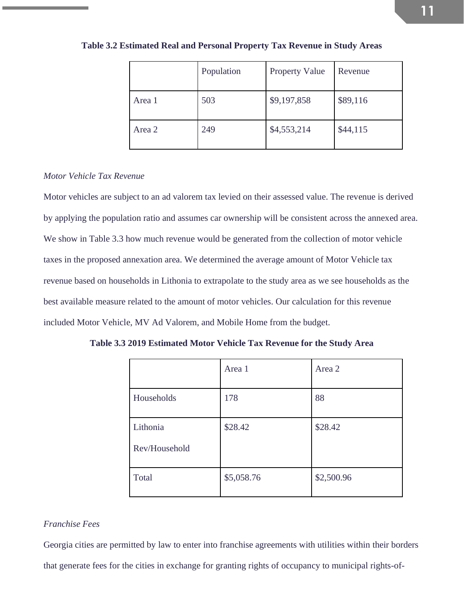|        | Population | Property Value | Revenue  |
|--------|------------|----------------|----------|
| Area 1 | 503        | \$9,197,858    | \$89,116 |
| Area 2 | 249        | \$4,553,214    | \$44,115 |

**Table 3.2 Estimated Real and Personal Property Tax Revenue in Study Areas**

## *Motor Vehicle Tax Revenue*

Motor vehicles are subject to an ad valorem tax levied on their assessed value. The revenue is derived by applying the population ratio and assumes car ownership will be consistent across the annexed area. We show in Table 3.3 how much revenue would be generated from the collection of motor vehicle taxes in the proposed annexation area. We determined the average amount of Motor Vehicle tax revenue based on households in Lithonia to extrapolate to the study area as we see households as the best available measure related to the amount of motor vehicles. Our calculation for this revenue included Motor Vehicle, MV Ad Valorem, and Mobile Home from the budget.

|                           | Area 1     | Area 2     |
|---------------------------|------------|------------|
| Households                | 178        | 88         |
| Lithonia<br>Rev/Household | \$28.42    | \$28.42    |
| Total                     | \$5,058.76 | \$2,500.96 |

**Table 3.3 2019 Estimated Motor Vehicle Tax Revenue for the Study Area**

### *Franchise Fees*

Georgia cities are permitted by law to enter into franchise agreements with utilities within their borders that generate fees for the cities in exchange for granting rights of occupancy to municipal rights-of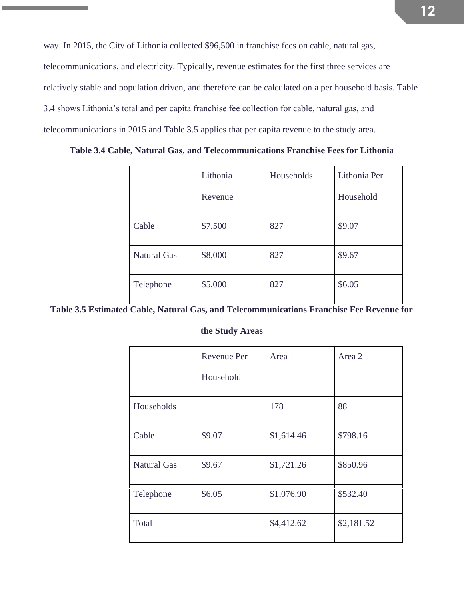way. In 2015, the City of Lithonia collected \$96,500 in franchise fees on cable, natural gas, telecommunications, and electricity. Typically, revenue estimates for the first three services are relatively stable and population driven, and therefore can be calculated on a per household basis. Table 3.4 shows Lithonia's total and per capita franchise fee collection for cable, natural gas, and telecommunications in 2015 and Table 3.5 applies that per capita revenue to the study area.

**Table 3.4 Cable, Natural Gas, and Telecommunications Franchise Fees for Lithonia**

|                    | Lithonia<br>Revenue | Households | Lithonia Per<br>Household |
|--------------------|---------------------|------------|---------------------------|
| Cable              | \$7,500             | 827        | \$9.07                    |
| <b>Natural Gas</b> | \$8,000             | 827        | \$9.67                    |
| Telephone          | \$5,000             | 827        | \$6.05                    |

**Table 3.5 Estimated Cable, Natural Gas, and Telecommunications Franchise Fee Revenue for** 

**the Study Areas**

|                    | <b>Revenue Per</b> | Area 1     | Area 2     |
|--------------------|--------------------|------------|------------|
|                    | Household          |            |            |
| Households         |                    | 178        | 88         |
| Cable              | \$9.07             | \$1,614.46 | \$798.16   |
| <b>Natural Gas</b> | \$9.67             | \$1,721.26 | \$850.96   |
| Telephone          | \$6.05             | \$1,076.90 | \$532.40   |
| Total              |                    | \$4,412.62 | \$2,181.52 |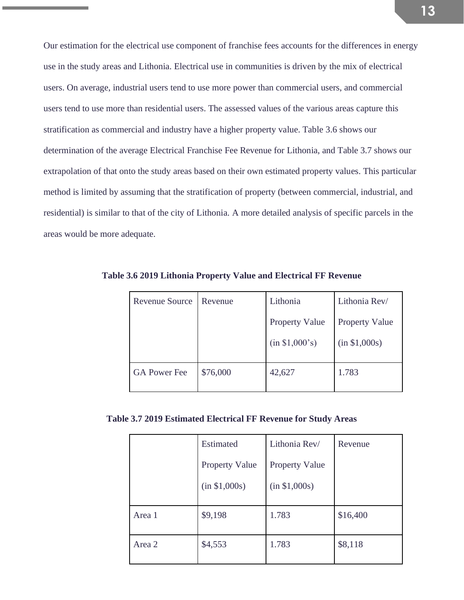Our estimation for the electrical use component of franchise fees accounts for the differences in energy use in the study areas and Lithonia. Electrical use in communities is driven by the mix of electrical users. On average, industrial users tend to use more power than commercial users, and commercial users tend to use more than residential users. The assessed values of the various areas capture this stratification as commercial and industry have a higher property value. Table 3.6 shows our determination of the average Electrical Franchise Fee Revenue for Lithonia, and Table 3.7 shows our extrapolation of that onto the study areas based on their own estimated property values. This particular method is limited by assuming that the stratification of property (between commercial, industrial, and residential) is similar to that of the city of Lithonia. A more detailed analysis of specific parcels in the areas would be more adequate.

| Revenue Source      | Revenue  | Lithonia              | Lithonia Rev/         |
|---------------------|----------|-----------------------|-----------------------|
|                     |          | <b>Property Value</b> | <b>Property Value</b> |
|                     |          | (in \$1,000's)        | (in \$1,000s)         |
| <b>GA Power Fee</b> | \$76,000 | 42,627                | 1.783                 |

**Table 3.6 2019 Lithonia Property Value and Electrical FF Revenue**

**Table 3.7 2019 Estimated Electrical FF Revenue for Study Areas**

|        | Estimated             | Lithonia Rev/         | Revenue  |
|--------|-----------------------|-----------------------|----------|
|        | <b>Property Value</b> | <b>Property Value</b> |          |
|        | (in \$1,000s)         | (in \$1,000s)         |          |
| Area 1 | \$9,198               | 1.783                 | \$16,400 |
| Area 2 | \$4,553               | 1.783                 | \$8,118  |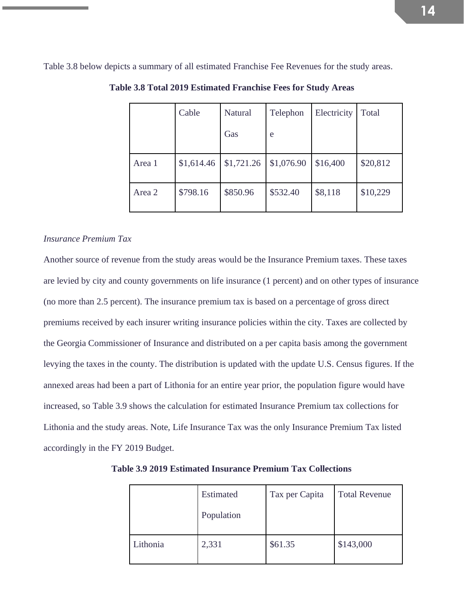Table 3.8 below depicts a summary of all estimated Franchise Fee Revenues for the study areas.

|        | Cable      | <b>Natural</b> | Telephon   | Electricity | Total    |
|--------|------------|----------------|------------|-------------|----------|
|        |            | Gas            | e          |             |          |
| Area 1 | \$1,614.46 | \$1,721.26     | \$1,076.90 | \$16,400    | \$20,812 |
| Area 2 | \$798.16   | \$850.96       | \$532.40   | \$8,118     | \$10,229 |

**Table 3.8 Total 2019 Estimated Franchise Fees for Study Areas**

### *Insurance Premium Tax*

Another source of revenue from the study areas would be the Insurance Premium taxes. These taxes are levied by city and county governments on life insurance (1 percent) and on other types of insurance (no more than 2.5 percent). The insurance premium tax is based on a percentage of gross direct premiums received by each insurer writing insurance policies within the city. Taxes are collected by the Georgia Commissioner of Insurance and distributed on a per capita basis among the government levying the taxes in the county. The distribution is updated with the update U.S. Census figures. If the annexed areas had been a part of Lithonia for an entire year prior, the population figure would have increased, so Table 3.9 shows the calculation for estimated Insurance Premium tax collections for Lithonia and the study areas. Note, Life Insurance Tax was the only Insurance Premium Tax listed accordingly in the FY 2019 Budget.

|          | Estimated  | Tax per Capita | <b>Total Revenue</b> |
|----------|------------|----------------|----------------------|
|          | Population |                |                      |
| Lithonia | 2,331      | \$61.35        | \$143,000            |

**Table 3.9 2019 Estimated Insurance Premium Tax Collections**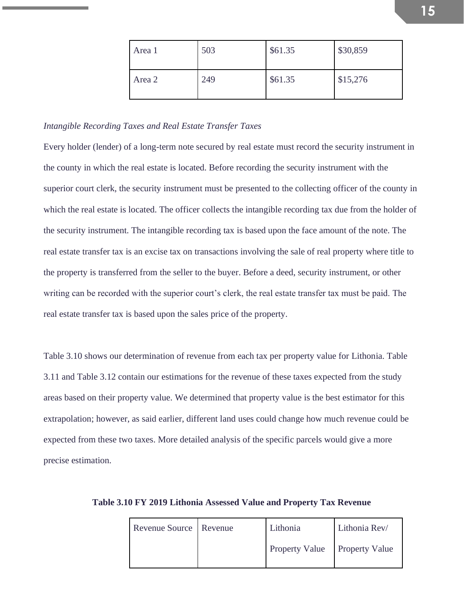| Area 1 | 503 | \$61.35 | \$30,859 |
|--------|-----|---------|----------|
| Area 2 | 249 | \$61.35 | \$15,276 |

#### *Intangible Recording Taxes and Real Estate Transfer Taxes*

Every holder (lender) of a long-term note secured by real estate must record the security instrument in the county in which the real estate is located. Before recording the security instrument with the superior court clerk, the security instrument must be presented to the collecting officer of the county in which the real estate is located. The officer collects the intangible recording tax due from the holder of the security instrument. The intangible recording tax is based upon the face amount of the note. The real estate transfer tax is an excise tax on transactions involving the sale of real property where title to the property is transferred from the seller to the buyer. Before a deed, security instrument, or other writing can be recorded with the superior court's clerk, the real estate transfer tax must be paid. The real estate transfer tax is based upon the sales price of the property.

Table 3.10 shows our determination of revenue from each tax per property value for Lithonia. Table 3.11 and Table 3.12 contain our estimations for the revenue of these taxes expected from the study areas based on their property value. We determined that property value is the best estimator for this extrapolation; however, as said earlier, different land uses could change how much revenue could be expected from these two taxes. More detailed analysis of the specific parcels would give a more precise estimation.

| Revenue Source   Revenue | Lithonia                      | Lithonia Rev/ |
|--------------------------|-------------------------------|---------------|
|                          | Property Value Property Value |               |

**Table 3.10 FY 2019 Lithonia Assessed Value and Property Tax Revenue**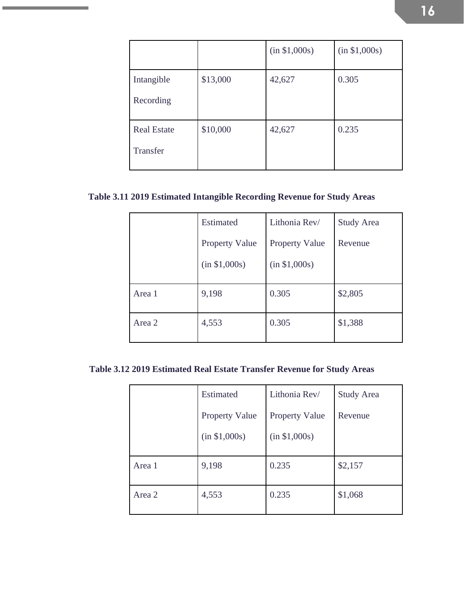|                                |          | (in \$1,000s) | (in \$1,000s) |
|--------------------------------|----------|---------------|---------------|
| Intangible<br>Recording        | \$13,000 | 42,627        | 0.305         |
| <b>Real Estate</b><br>Transfer | \$10,000 | 42,627        | 0.235         |

# **Table 3.11 2019 Estimated Intangible Recording Revenue for Study Areas**

 $\sim$ 

|        | <b>Estimated</b>      | Lithonia Rev/         | <b>Study Area</b> |
|--------|-----------------------|-----------------------|-------------------|
|        | <b>Property Value</b> | <b>Property Value</b> | Revenue           |
|        | (in \$1,000s)         | (in \$1,000s)         |                   |
| Area 1 | 9,198                 | 0.305                 | \$2,805           |
| Area 2 | 4,553                 | 0.305                 | \$1,388           |

**Table 3.12 2019 Estimated Real Estate Transfer Revenue for Study Areas**

|        | <b>Estimated</b>      | Lithonia Rev/         | <b>Study Area</b> |
|--------|-----------------------|-----------------------|-------------------|
|        | <b>Property Value</b> | <b>Property Value</b> | Revenue           |
|        | (in \$1,000s)         | (in \$1,000s)         |                   |
| Area 1 | 9,198                 | 0.235                 | \$2,157           |
| Area 2 | 4,553                 | 0.235                 | \$1,068           |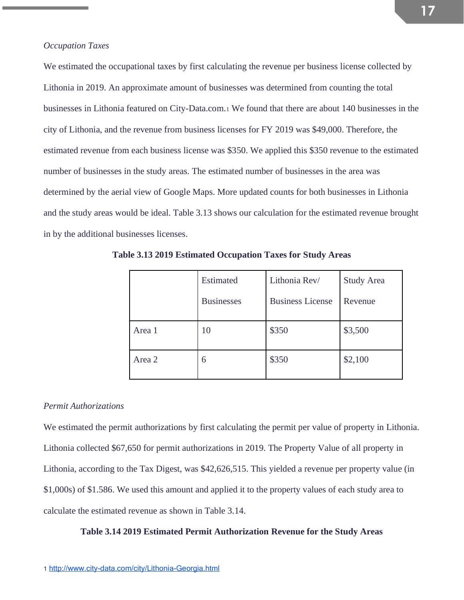We estimated the occupational taxes by first calculating the revenue per business license collected by Lithonia in 2019. An approximate amount of businesses was determined from counting the total businesses in Lithonia featured on City-Data.com.<sup>1</sup> We found that there are about 140 businesses in the city of Lithonia, and the revenue from business licenses for FY 2019 was \$49,000. Therefore, the estimated revenue from each business license was \$350. We applied this \$350 revenue to the estimated number of businesses in the study areas. The estimated number of businesses in the area was determined by the aerial view of Google Maps. More updated counts for both businesses in Lithonia and the study areas would be ideal. Table 3.13 shows our calculation for the estimated revenue brought in by the additional businesses licenses.

|        | Estimated         | Lithonia Rev/           | <b>Study Area</b> |  |
|--------|-------------------|-------------------------|-------------------|--|
|        | <b>Businesses</b> | <b>Business License</b> | Revenue           |  |
| Area 1 | 10                | \$350                   | \$3,500           |  |
| Area 2 | 6                 | \$350                   | \$2,100           |  |

**Table 3.13 2019 Estimated Occupation Taxes for Study Areas**

### *Permit Authorizations*

We estimated the permit authorizations by first calculating the permit per value of property in Lithonia. Lithonia collected \$67,650 for permit authorizations in 2019. The Property Value of all property in Lithonia, according to the Tax Digest, was \$42,626,515. This yielded a revenue per property value (in \$1,000s) of \$1.586. We used this amount and applied it to the property values of each study area to calculate the estimated revenue as shown in Table 3.14.

## **Table 3.14 2019 Estimated Permit Authorization Revenue for the Study Areas**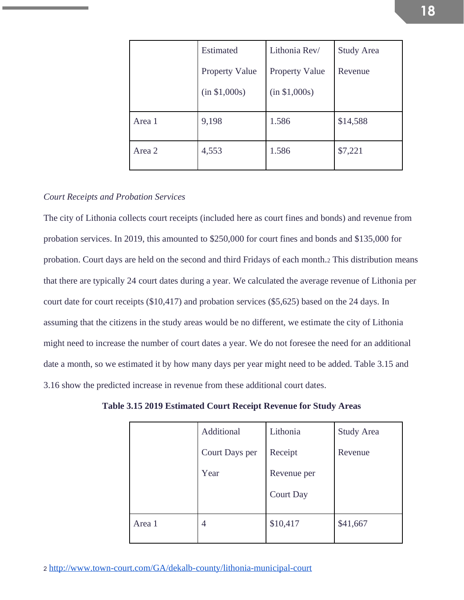|        | Estimated             | Lithonia Rev/         | <b>Study Area</b> |  |
|--------|-----------------------|-----------------------|-------------------|--|
|        | <b>Property Value</b> | <b>Property Value</b> | Revenue           |  |
|        | (in \$1,000s)         | (in \$1,000s)         |                   |  |
| Area 1 | 9,198                 | 1.586                 | \$14,588          |  |
| Area 2 | 4,553                 | 1.586                 | \$7,221           |  |

### *Court Receipts and Probation Services*

The city of Lithonia collects court receipts (included here as court fines and bonds) and revenue from probation services. In 2019, this amounted to \$250,000 for court fines and bonds and \$135,000 for probation. Court days are held on the second and third Fridays of each month.<sup>2</sup> This distribution means that there are typically 24 court dates during a year. We calculated the average revenue of Lithonia per court date for court receipts (\$10,417) and probation services (\$5,625) based on the 24 days. In assuming that the citizens in the study areas would be no different, we estimate the city of Lithonia might need to increase the number of court dates a year. We do not foresee the need for an additional date a month, so we estimated it by how many days per year might need to be added. Table 3.15 and 3.16 show the predicted increase in revenue from these additional court dates.

|        | Additional     | Lithonia         | <b>Study Area</b> |
|--------|----------------|------------------|-------------------|
|        | Court Days per | Receipt          | Revenue           |
|        | Year           | Revenue per      |                   |
|        |                | <b>Court Day</b> |                   |
| Area 1 | 4              | \$10,417         | \$41,667          |

**Table 3.15 2019 Estimated Court Receipt Revenue for Study Areas**

**18**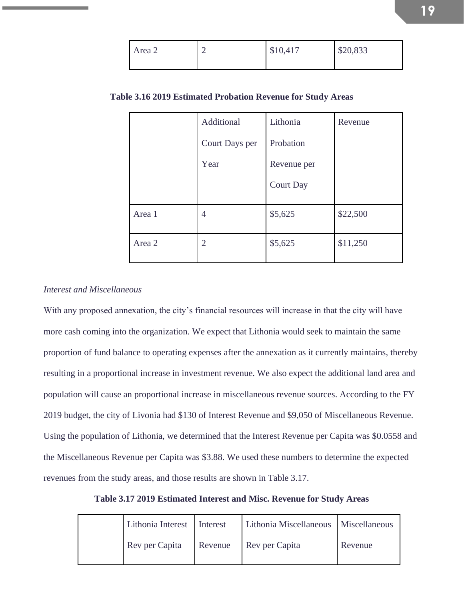| Area 2 | ⌒<br>∠ | \$10,417 | \$20,833 |
|--------|--------|----------|----------|
|        |        |          |          |

|  | Table 3.16 2019 Estimated Probation Revenue for Study Areas |  |  |  |
|--|-------------------------------------------------------------|--|--|--|
|  |                                                             |  |  |  |

|        | Additional     | Lithonia         | Revenue  |
|--------|----------------|------------------|----------|
|        | Court Days per | Probation        |          |
|        | Year           | Revenue per      |          |
|        |                | <b>Court Day</b> |          |
| Area 1 | $\overline{4}$ | \$5,625          | \$22,500 |
| Area 2 | $\overline{2}$ | \$5,625          | \$11,250 |

# *Interest and Miscellaneous*

With any proposed annexation, the city's financial resources will increase in that the city will have more cash coming into the organization. We expect that Lithonia would seek to maintain the same proportion of fund balance to operating expenses after the annexation as it currently maintains, thereby resulting in a proportional increase in investment revenue. We also expect the additional land area and population will cause an proportional increase in miscellaneous revenue sources. According to the FY 2019 budget, the city of Livonia had \$130 of Interest Revenue and \$9,050 of Miscellaneous Revenue. Using the population of Lithonia, we determined that the Interest Revenue per Capita was \$0.0558 and the Miscellaneous Revenue per Capita was \$3.88. We used these numbers to determine the expected revenues from the study areas, and those results are shown in Table 3.17.

**Table 3.17 2019 Estimated Interest and Misc. Revenue for Study Areas**

| Lithonia Interest | Interest | Lithonia Miscellaneous   Miscellaneous |         |
|-------------------|----------|----------------------------------------|---------|
| Rev per Capita    | Revenue  | Rev per Capita                         | Revenue |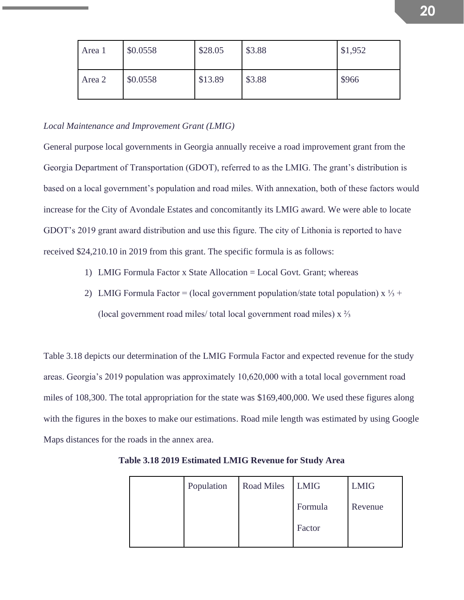| Area 1 | \$0.0558 | \$28.05 | \$3.88 | \$1,952 |
|--------|----------|---------|--------|---------|
| Area 2 | \$0.0558 | \$13.89 | \$3.88 | \$966   |

### *Local Maintenance and Improvement Grant (LMIG)*

General purpose local governments in Georgia annually receive a road improvement grant from the Georgia Department of Transportation (GDOT), referred to as the LMIG. The grant's distribution is based on a local government's population and road miles. With annexation, both of these factors would increase for the City of Avondale Estates and concomitantly its LMIG award. We were able to locate GDOT's 2019 grant award distribution and use this figure. The city of Lithonia is reported to have received \$24,210.10 in 2019 from this grant. The specific formula is as follows:

- 1) LMIG Formula Factor x State Allocation = Local Govt. Grant; whereas
- 2) LMIG Formula Factor = (local government population/state total population)  $x \frac{1}{3}$  + (local government road miles/ total local government road miles) x ⅔

Table 3.18 depicts our determination of the LMIG Formula Factor and expected revenue for the study areas. Georgia's 2019 population was approximately 10,620,000 with a total local government road miles of 108,300. The total appropriation for the state was \$169,400,000. We used these figures along with the figures in the boxes to make our estimations. Road mile length was estimated by using Google Maps distances for the roads in the annex area.

| Population | <b>Road Miles</b> | <b>LMIG</b> | <b>LMIG</b> |
|------------|-------------------|-------------|-------------|
|            |                   | Formula     | Revenue     |
|            |                   | Factor      |             |
|            |                   |             |             |

**Table 3.18 2019 Estimated LMIG Revenue for Study Area**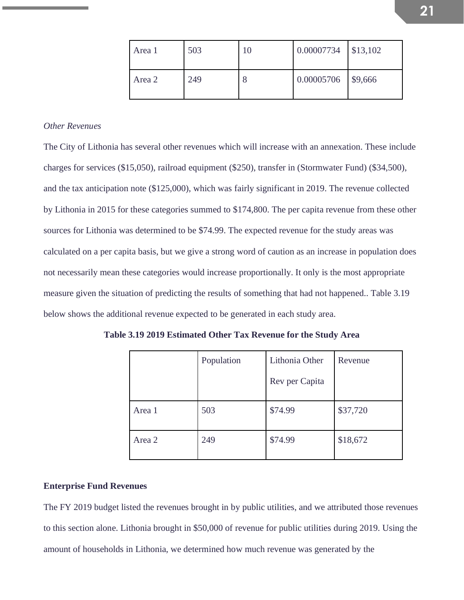| Area 1 | 503 | 10 | 0.00007734 | \$13,102 |
|--------|-----|----|------------|----------|
| Area 2 | 249 | 8  | 0.00005706 | \$9,666  |

# *Other Revenues*

The City of Lithonia has several other revenues which will increase with an annexation. These include charges for services (\$15,050), railroad equipment (\$250), transfer in (Stormwater Fund) (\$34,500), and the tax anticipation note (\$125,000), which was fairly significant in 2019. The revenue collected by Lithonia in 2015 for these categories summed to \$174,800. The per capita revenue from these other sources for Lithonia was determined to be \$74.99. The expected revenue for the study areas was calculated on a per capita basis, but we give a strong word of caution as an increase in population does not necessarily mean these categories would increase proportionally. It only is the most appropriate measure given the situation of predicting the results of something that had not happened.. Table 3.19 below shows the additional revenue expected to be generated in each study area.

**Table 3.19 2019 Estimated Other Tax Revenue for the Study Area**

|        | Population | Lithonia Other | Revenue  |
|--------|------------|----------------|----------|
|        |            | Rev per Capita |          |
| Area 1 | 503        | \$74.99        | \$37,720 |
| Area 2 | 249        | \$74.99        | \$18,672 |

#### **Enterprise Fund Revenues**

The FY 2019 budget listed the revenues brought in by public utilities, and we attributed those revenues to this section alone. Lithonia brought in \$50,000 of revenue for public utilities during 2019. Using the amount of households in Lithonia, we determined how much revenue was generated by the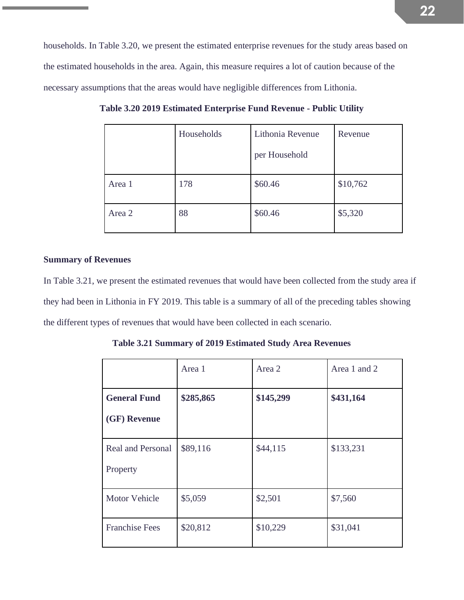households. In Table 3.20, we present the estimated enterprise revenues for the study areas based on the estimated households in the area. Again, this measure requires a lot of caution because of the necessary assumptions that the areas would have negligible differences from Lithonia.

|        | Households | Lithonia Revenue | Revenue  |
|--------|------------|------------------|----------|
|        |            | per Household    |          |
| Area 1 | 178        | \$60.46          | \$10,762 |
| Area 2 | 88         | \$60.46          | \$5,320  |

**Table 3.20 2019 Estimated Enterprise Fund Revenue - Public Utility**

# **Summary of Revenues**

In Table 3.21, we present the estimated revenues that would have been collected from the study area if they had been in Lithonia in FY 2019. This table is a summary of all of the preceding tables showing the different types of revenues that would have been collected in each scenario.

**Table 3.21 Summary of 2019 Estimated Study Area Revenues**

|                          | Area 1    | Area 2    | Area 1 and 2 |
|--------------------------|-----------|-----------|--------------|
| <b>General Fund</b>      | \$285,865 | \$145,299 | \$431,164    |
| (GF) Revenue             |           |           |              |
| <b>Real and Personal</b> | \$89,116  | \$44,115  | \$133,231    |
| Property                 |           |           |              |
| <b>Motor Vehicle</b>     | \$5,059   | \$2,501   | \$7,560      |
| <b>Franchise Fees</b>    | \$20,812  | \$10,229  | \$31,041     |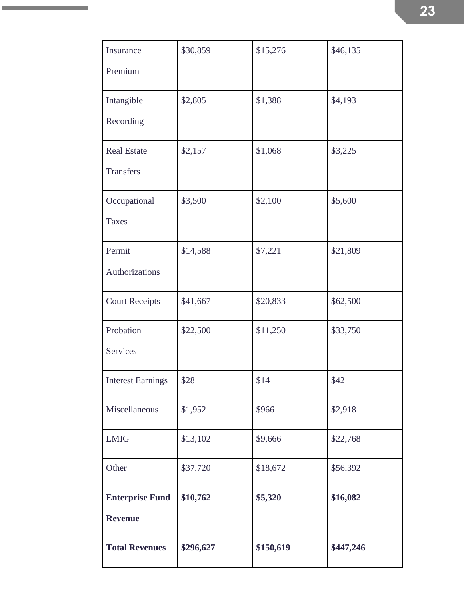| Insurance                | \$30,859  | \$15,276  | \$46,135  |
|--------------------------|-----------|-----------|-----------|
| Premium                  |           |           |           |
| Intangible               | \$2,805   | \$1,388   | \$4,193   |
| Recording                |           |           |           |
| <b>Real Estate</b>       | \$2,157   | \$1,068   | \$3,225   |
| <b>Transfers</b>         |           |           |           |
| Occupational             | \$3,500   | \$2,100   | \$5,600   |
| <b>Taxes</b>             |           |           |           |
| Permit                   | \$14,588  | \$7,221   | \$21,809  |
| Authorizations           |           |           |           |
| <b>Court Receipts</b>    | \$41,667  | \$20,833  | \$62,500  |
| Probation                | \$22,500  | \$11,250  | \$33,750  |
| <b>Services</b>          |           |           |           |
| <b>Interest Earnings</b> | \$28      | \$14      | \$42      |
| Miscellaneous            | \$1,952   | \$966     | \$2,918   |
| <b>LMIG</b>              | \$13,102  | \$9,666   | \$22,768  |
| Other                    | \$37,720  | \$18,672  | \$56,392  |
| <b>Enterprise Fund</b>   | \$10,762  | \$5,320   | \$16,082  |
| <b>Revenue</b>           |           |           |           |
| <b>Total Revenues</b>    | \$296,627 | \$150,619 | \$447,246 |

the control of the control of the control of

×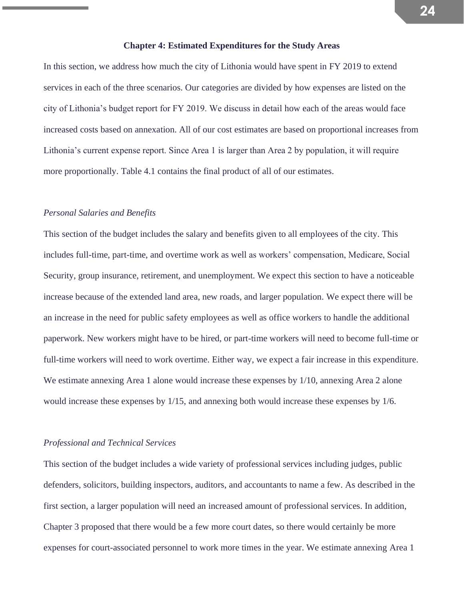### **Chapter 4: Estimated Expenditures for the Study Areas**

In this section, we address how much the city of Lithonia would have spent in FY 2019 to extend services in each of the three scenarios. Our categories are divided by how expenses are listed on the city of Lithonia's budget report for FY 2019. We discuss in detail how each of the areas would face increased costs based on annexation. All of our cost estimates are based on proportional increases from Lithonia's current expense report. Since Area 1 is larger than Area 2 by population, it will require more proportionally. Table 4.1 contains the final product of all of our estimates.

### *Personal Salaries and Benefits*

This section of the budget includes the salary and benefits given to all employees of the city. This includes full-time, part-time, and overtime work as well as workers' compensation, Medicare, Social Security, group insurance, retirement, and unemployment. We expect this section to have a noticeable increase because of the extended land area, new roads, and larger population. We expect there will be an increase in the need for public safety employees as well as office workers to handle the additional paperwork. New workers might have to be hired, or part-time workers will need to become full-time or full-time workers will need to work overtime. Either way, we expect a fair increase in this expenditure. We estimate annexing Area 1 alone would increase these expenses by 1/10, annexing Area 2 alone would increase these expenses by 1/15, and annexing both would increase these expenses by 1/6.

### *Professional and Technical Services*

This section of the budget includes a wide variety of professional services including judges, public defenders, solicitors, building inspectors, auditors, and accountants to name a few. As described in the first section, a larger population will need an increased amount of professional services. In addition, Chapter 3 proposed that there would be a few more court dates, so there would certainly be more expenses for court-associated personnel to work more times in the year. We estimate annexing Area 1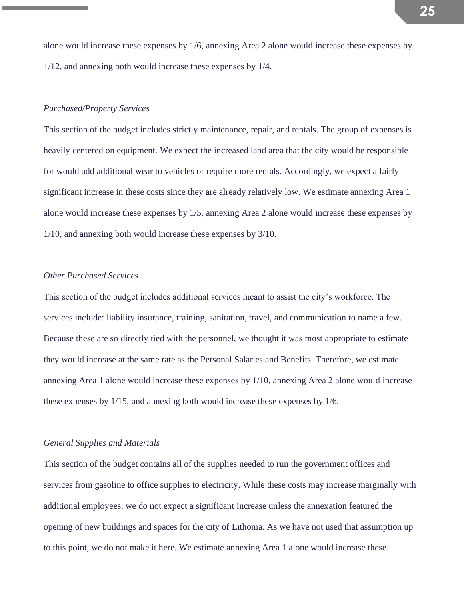alone would increase these expenses by 1/6, annexing Area 2 alone would increase these expenses by 1/12, and annexing both would increase these expenses by 1/4.

# *Purchased/Property Services*

This section of the budget includes strictly maintenance, repair, and rentals. The group of expenses is heavily centered on equipment. We expect the increased land area that the city would be responsible for would add additional wear to vehicles or require more rentals. Accordingly, we expect a fairly significant increase in these costs since they are already relatively low. We estimate annexing Area 1 alone would increase these expenses by 1/5, annexing Area 2 alone would increase these expenses by 1/10, and annexing both would increase these expenses by 3/10.

# *Other Purchased Services*

This section of the budget includes additional services meant to assist the city's workforce. The services include: liability insurance, training, sanitation, travel, and communication to name a few. Because these are so directly tied with the personnel, we thought it was most appropriate to estimate they would increase at the same rate as the Personal Salaries and Benefits. Therefore, we estimate annexing Area 1 alone would increase these expenses by 1/10, annexing Area 2 alone would increase these expenses by 1/15, and annexing both would increase these expenses by 1/6.

### *General Supplies and Materials*

This section of the budget contains all of the supplies needed to run the government offices and services from gasoline to office supplies to electricity. While these costs may increase marginally with additional employees, we do not expect a significant increase unless the annexation featured the opening of new buildings and spaces for the city of Lithonia. As we have not used that assumption up to this point, we do not make it here. We estimate annexing Area 1 alone would increase these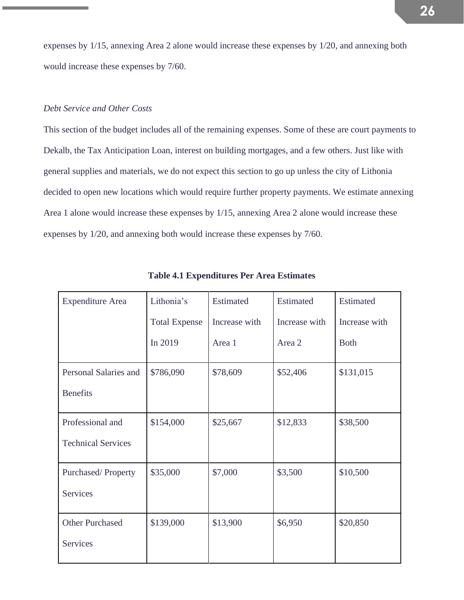expenses by 1/15, annexing Area 2 alone would increase these expenses by 1/20, and annexing both would increase these expenses by 7/60.

# *Debt Service and Other Costs*

This section of the budget includes all of the remaining expenses. Some of these are court payments to Dekalb, the Tax Anticipation Loan, interest on building mortgages, and a few others. Just like with general supplies and materials, we do not expect this section to go up unless the city of Lithonia decided to open new locations which would require further property payments. We estimate annexing Area 1 alone would increase these expenses by 1/15, annexing Area 2 alone would increase these expenses by 1/20, and annexing both would increase these expenses by 7/60.

| <b>Expenditure Area</b>   | Lithonia's           | Estimated     | Estimated     | Estimated     |
|---------------------------|----------------------|---------------|---------------|---------------|
|                           | <b>Total Expense</b> | Increase with | Increase with | Increase with |
|                           | In 2019              | Area 1        | Area 2        | <b>Both</b>   |
| Personal Salaries and     | \$786,090            | \$78,609      | \$52,406      | \$131,015     |
| <b>Benefits</b>           |                      |               |               |               |
| Professional and          | \$154,000            | \$25,667      | \$12,833      | \$38,500      |
| <b>Technical Services</b> |                      |               |               |               |
| Purchased/Property        | \$35,000             | \$7,000       | \$3,500       | \$10,500      |
| <b>Services</b>           |                      |               |               |               |
| <b>Other Purchased</b>    | \$139,000            | \$13,900      | \$6,950       | \$20,850      |
| <b>Services</b>           |                      |               |               |               |

**Table 4.1 Expenditures Per Area Estimates**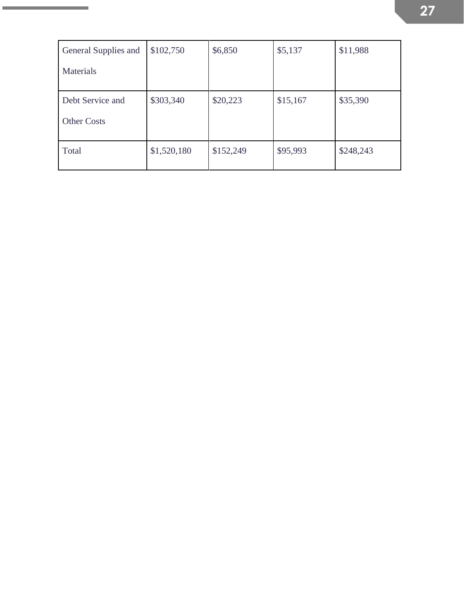| General Supplies and | \$102,750   | \$6,850   | \$5,137  | \$11,988  |
|----------------------|-------------|-----------|----------|-----------|
| Materials            |             |           |          |           |
| Debt Service and     | \$303,340   | \$20,223  | \$15,167 | \$35,390  |
| <b>Other Costs</b>   |             |           |          |           |
| Total                | \$1,520,180 | \$152,249 | \$95,993 | \$248,243 |

the control of the control of the con-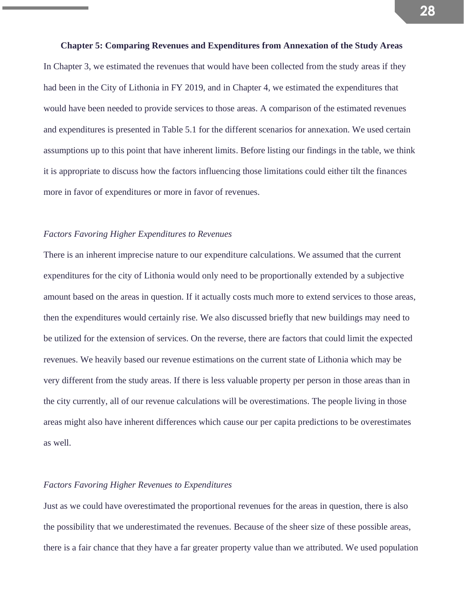**Chapter 5: Comparing Revenues and Expenditures from Annexation of the Study Areas** In Chapter 3, we estimated the revenues that would have been collected from the study areas if they had been in the City of Lithonia in FY 2019, and in Chapter 4, we estimated the expenditures that would have been needed to provide services to those areas. A comparison of the estimated revenues and expenditures is presented in Table 5.1 for the different scenarios for annexation. We used certain assumptions up to this point that have inherent limits. Before listing our findings in the table, we think it is appropriate to discuss how the factors influencing those limitations could either tilt the finances more in favor of expenditures or more in favor of revenues.

# *Factors Favoring Higher Expenditures to Revenues*

There is an inherent imprecise nature to our expenditure calculations. We assumed that the current expenditures for the city of Lithonia would only need to be proportionally extended by a subjective amount based on the areas in question. If it actually costs much more to extend services to those areas, then the expenditures would certainly rise. We also discussed briefly that new buildings may need to be utilized for the extension of services. On the reverse, there are factors that could limit the expected revenues. We heavily based our revenue estimations on the current state of Lithonia which may be very different from the study areas. If there is less valuable property per person in those areas than in the city currently, all of our revenue calculations will be overestimations. The people living in those areas might also have inherent differences which cause our per capita predictions to be overestimates as well.

# *Factors Favoring Higher Revenues to Expenditures*

Just as we could have overestimated the proportional revenues for the areas in question, there is also the possibility that we underestimated the revenues. Because of the sheer size of these possible areas, there is a fair chance that they have a far greater property value than we attributed. We used population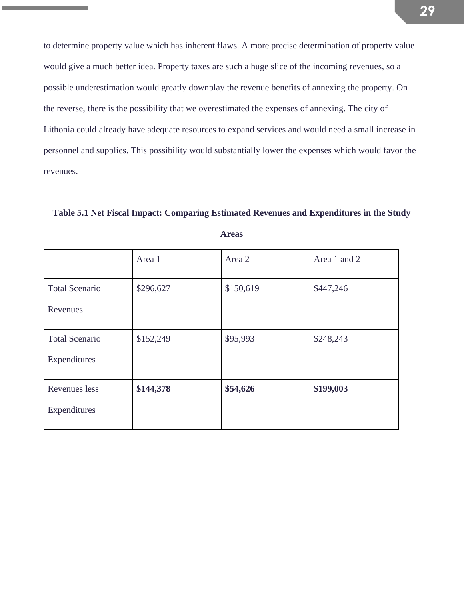to determine property value which has inherent flaws. A more precise determination of property value would give a much better idea. Property taxes are such a huge slice of the incoming revenues, so a possible underestimation would greatly downplay the revenue benefits of annexing the property. On the reverse, there is the possibility that we overestimated the expenses of annexing. The city of Lithonia could already have adequate resources to expand services and would need a small increase in personnel and supplies. This possibility would substantially lower the expenses which would favor the revenues.

**Table 5.1 Net Fiscal Impact: Comparing Estimated Revenues and Expenditures in the Study** 

|                       | Area 1    | Area 2    | Area 1 and 2 |
|-----------------------|-----------|-----------|--------------|
| <b>Total Scenario</b> | \$296,627 | \$150,619 | \$447,246    |
| Revenues              |           |           |              |
| <b>Total Scenario</b> | \$152,249 | \$95,993  | \$248,243    |
| Expenditures          |           |           |              |
| Revenues less         | \$144,378 | \$54,626  | \$199,003    |
| Expenditures          |           |           |              |

**Areas**